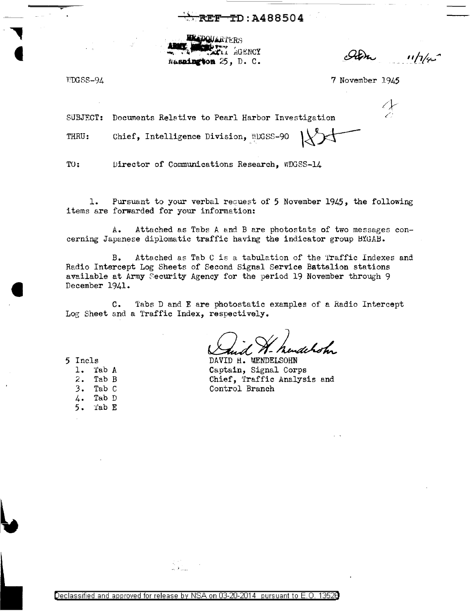$TD: A488504$ **EF** 

**EADOUARTERS** CLI GENCY Wasnington 25, D. C.

 $11/7/4$ 

VDGSS-94

7 November 1945

Documents Relative to Pearl Harbor Investigation SUBJECT:

Chief, Intelligence Division, WDGSS-90

THRU:

TO: Director of Communications Research, WDGSS-14

Pursuant to your verbal request of 5 November 1945, the following ı. items are forwarded for your information:

Attached as Tabs A and B are photostats of two messages con-A. cerning Japanese diplomatic traffic having the indicator group BYGAB.

Attached as Tab C is a tabulation of the Traffic Indexes and в. Radio Intercept Log Sheets of Second Signal Service Battalion stations available at Army Security Agency for the period 19 November through 9 December 1941.

Tabs D and E are photostatic examples of a Radio Intercept  $c_{\bullet}$ Log Sheet and a Traffic Index, respectively.

dehoh.

DAVID H. MENDELSOHN Captain, Signal Corps Chief, Traffic Analysis and Control Branch

5 Incls  $1.$ Tab A

- $2.$ Tab B
- $3.$ Tab C
- Tab D  $4.$
- Tab E  $5.$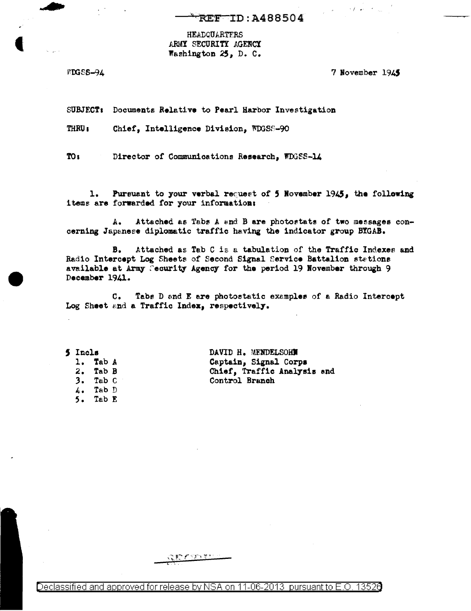## **REF ID: A488504**

**HEADQUARTERS** ARMY SECURITY AGENCY Washington 25, D. C.

**WDGSS-94** 

7 November 1945

**SUBJECT:** Documents Relative to Pearl Harbor Investigation

THRU<sub>1</sub> Chief, Intelligence Division, WDGSS-90

 $TO<sub>i</sub>$ Director of Communications Research, WDGSS-14

1. Pursuant to your verbal request of 5 November 1945, the following items are forwarded for your information:

Attached as Tabs A and B are photostats of two messages con-Α. cerning Japanese diplomatic traffic having the indicator group BTGAB.

Attached as Tab C is a tabulation of the Traffic Indexes and в. Radio Intercept Log Sheets of Second Signal Service Battalion stations available at Army Security Agency for the period 19 November through 9 December 1941.

Tabs D and E are photostatic examples of a Radio Intercept  $c_{\bullet}$ Log Sheet and a Traffic Index, respectively.

5 Incls 1. Tab A  $2.$  Tab B  $3.$  Tab  $C$  $4.$  Tab  $D$ Tab E  $5.$ 

DAVID H. MENDELSOHN Captain, Signal Corps Chief, Traffic Analysis and Control Branch

Declassified and approved for release by NSA on 11-06-2013 pursuant to E.O. 13526

こまつ どうすうせつ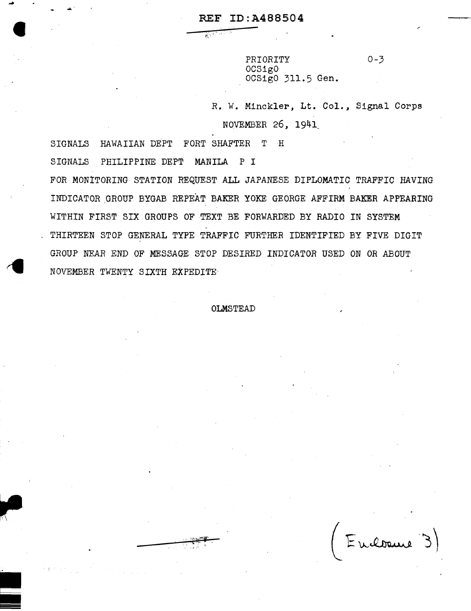### REF ID:A488504

 $\mathbb{R}^{n \times n}$ 

~

i<br>III<br>IIII

-

~-

PRIORITY 0-3 OCSigO OCSigO 311.5 Gen.

R. W. Minckler, Lt. Col., Signal Corps NO\_VEMBER *26,* 1941\_

SIGNALS HAWAIIAN DEPT FORT SHAFTER T H SIGNALS PHILIPPINE DEPT MANILA p I FOR MONITORING STATION REQUEST ALL JAPANESE DIPLOMATIC TRAFFIC HAVING INDICATOR GROUP BYGAB REPEAT BAKER YOKE GEORGE AFFIRM BAKER APPEARING WITHIN FIRST SIX GROUPS OF TEXT BE FORWARDED BY RADIO IN SYSTEM THIRTEEN STOP GENERAL TYPE TRAFFIC FURTHER IDENTIFIED BY FIVE DIGIT GROUP NEAR END OF MESSAGE STOP DESIRED INDICATOR USED ON OR ABOUT NOVEMBER TWENTY SIXTH EXPEDITE-

#### OLMSTEAD

Endowne 3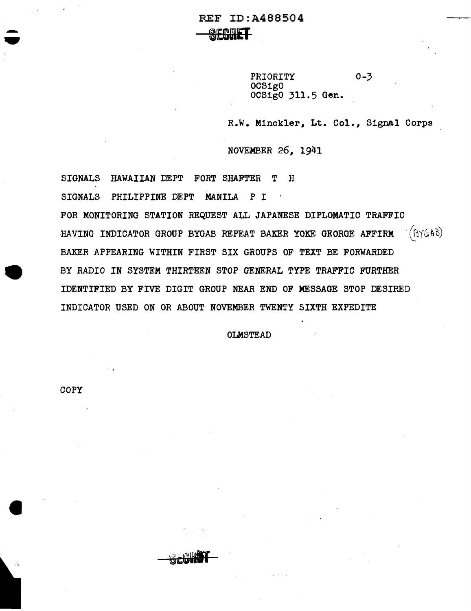REF ID:A488504

**SECTREF** 

PRIORITY 0-3 OCSigO 0CS1g0 311.5 Gen.

R.W. Minckler, Lt. Col., Signal Corps

NOVEMBER 26, 1941

SIGNALS HAWAIIAN DEPT FORT SHAFTER T H

SIGNALS PHILIPPINE DEPT MANILA P I  $\sim$   $\sim$ 

FOR MONITORING STATION REQUEST ALL JAPANESE DIPLOMATIC TRAFFIC HAVING INDICATOR GROUP BYGAB REPEAT BAKER YOKE GEORGE AFFIRM  $(S\&6A\&)$ BAKER APPEARING WITHIN FIRST SIX GROUPS OF TEXT BE FORWARDED BY RADIO IN SYSTEM THIRTEEN STOP GENERAL TYPE TRAFFIC FURTHER IDENTIFIED BY FIVE DIGIT GROUP NEAR END OF MESSAGE STOP DESIRED INDICATOR USED ON OR ABOUT NOVEMBER TWENTY SIXTH EXPEDITE

OLMSTEAD

COPY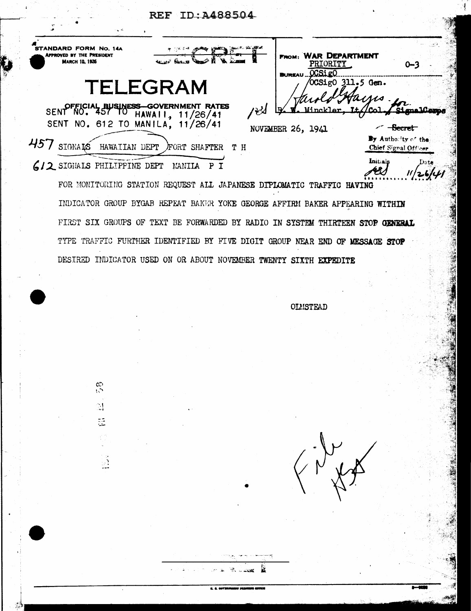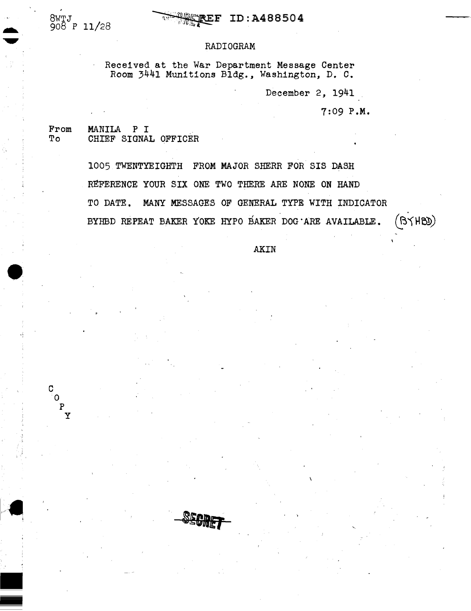$\bullet$ 

. ;

c  $\overline{0}$ p y

-

#### RADIOGRAM

Received at the War Department Message Center Room 3441 Munitions Bldg., Washington, D. C.

December 2, 1941

7:09 P.M.

From MANILA P I<br>To CHIEF SIGNAL OFFICER

1005 TWENTYEIGHTH FROM MAJOR SHERR FOR SIS DASH REFERENCE YOUR SIX ONE TWO THERE ARE NONE ON HAND TO DATE. MANY MESSAGES OF GENERAL TYPE WITH INDICATOR BYHBD REPEAT BAKER YOKE HYPO BAKER DOG ARE AVAILABLE.  $(BYHBD)$ 

AKIN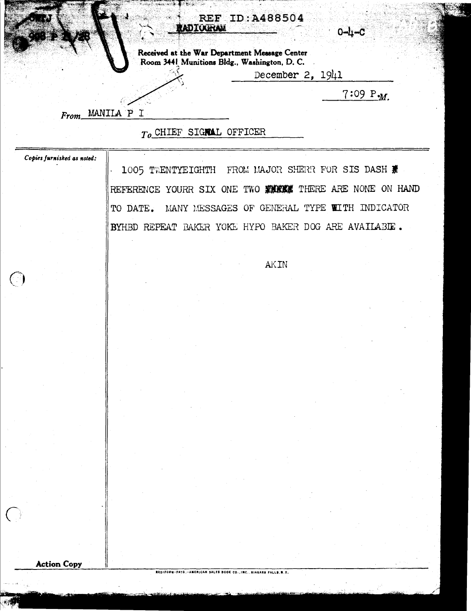#### **REF ID:A488504** ADIOGRAM

Received at the War Department Message Center Room 3441 Munitions Bldg., Washington, D. C.  $\mathbb{R}$ 

December 2, 1941

 $7:09 P_M$ 

0-h-0

From MANILA P I

ŕP.

## To CHIEF SIGNAL OFFICER

Copies furnished as noted:

 $\bigodot$ 

 $\langle$ 

1005 TWENTYEIGHTH FROM MAJOR SHERR FOR SIS DASH REFERENCE YOURR SIX ONE TWO FURNE THERE ARE NONE ON HAND TO DATE. MANY MESSAGES OF GENERAL TYPE WITH INDICATOR BYHBD REPEAT BAKER YOKE HYPO BAKER DOG ARE AVAILABIE.

**AKIN** 

**Action Copy**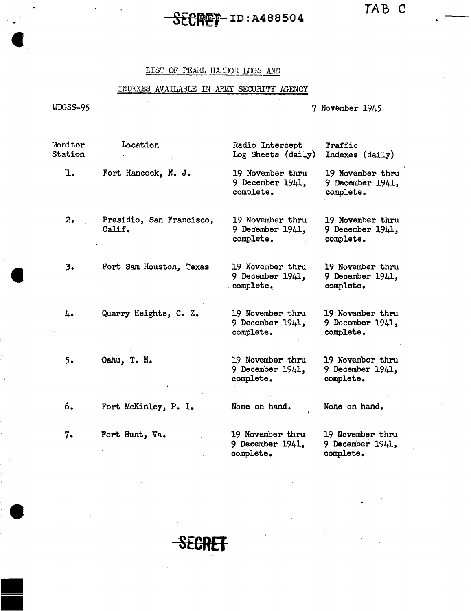# ID:A488504

*TAB* C

'

#### LIST OF PEARL HARBOR LOGS AND

#### INDEXES AVAILABLE IN ARMY SECURITY AGENCY

WOOSS-95

• -

7 November 1945

Monitor Station ·1. 2. *3.*  4. 5. 6. 7. Location Radio Intercept Traffic<br>Indexes (daily) Log Sheets (daily) Fort Hancock, N. J. 19 November thru 19 November thru<br>9 December 1941, 9 December 1941, 9 December 1941, 9 December complete. complete. Presidio, San Francisco, 19 November thru 19 November thru Calif. 9 December 1941, 9 December 1941, 9 December 1941, 9 December 1941,<br>complete. complete. complete. Fort Sam Houston, Texas 19 November thru 19 November thru<br>9 December 1941, 9 December 1941, 9 December 1941,<br>complete. complete. Quarry Heights, C. Z. 19 November thru 19 November thru<br>9 December 1941, 9 December 1941, 9 December 1941,<br>complete. complete. Oahu, T. K. 19 November thru 19 November thru<br>9 December 1941, 9 December 1941, 9 December 1941, 9 December 1941, 9 December 1941, 9 December 1941, 9 December 1941, 9 December 1941, 9 December 1941, 9 December 1941, 9 December 1941, 9 December 1941, 9 December 1941, 1941, 1942, 1942, 1942, 1942, 1942, complete. Fort McKinley, P. I. None on hand. None on hand. Fort Hunt, Va. 19 November thru 19 November thru<br>9 December 1941, 9 December 1941, 9 December 1941, 9 December complete. complete.

**SECRET**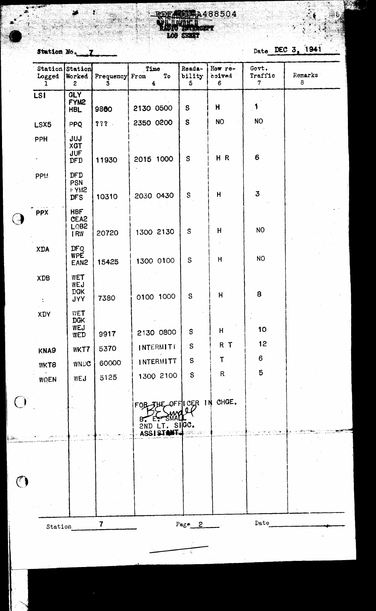RECAMING A488504 注射线 **SERT** WE NEW à

Station No. 7

 $\mathcal{L}_{\text{max}}$ 

43

 $\boldsymbol{t}$ 

S.

 $\mathcal{B}_{\mathcal{B},\mathcal{C}}$ 

Date DEC 3, 1941

أقلابين

 $\frac{1}{\sqrt{2}}$ 

|      | Logged<br>T  | Station Station<br>Worked<br>$\mathbf{2}$     | Frequency From<br>3     | Time<br>To<br>$\frac{4}{3}$               | Reada-<br>bility<br>$5\phantom{.0}$ | How re-<br>bevice<br>6 | Govt.<br>Traffic<br>$7\phantom{.}$ | Remarks<br>8 |  |
|------|--------------|-----------------------------------------------|-------------------------|-------------------------------------------|-------------------------------------|------------------------|------------------------------------|--------------|--|
|      | LSI          | <b>GLY</b><br>FYM <sub>2</sub><br><b>HBL</b>  | 9880                    | 2130 0500                                 | ${\bf S}$                           | H                      | $\mathcal{A}$                      |              |  |
|      | LSX5         | <b>PPQ</b>                                    | 777.                    | 2350 0200                                 | $\mathbf S$                         | <b>NO</b>              | NO <sub>1</sub>                    |              |  |
|      | <b>PPH</b>   | JUJ<br>XGT<br>JUF<br>DFD                      | 11930                   | 2015 1000                                 | ${\tt S}$                           | HR                     | 6                                  |              |  |
|      | <b>PPM</b>   | DFD<br>PSN<br>FYM <sub>2</sub><br><b>DFS</b>  | 10310                   | 2030 0430                                 | S                                   | H                      | $\mathbf{3}$                       |              |  |
|      | <b>PPX</b>   | <b>HBF</b><br>CEA <sub>2</sub><br>LQB2<br>IRW | 20720                   | 1300 2130                                 | S                                   | H                      | NO <sub>1</sub>                    |              |  |
|      | <b>XDA</b>   | DFQ<br><b>WPE</b><br>EAN <sub>2</sub>         | 15425                   | 1300 0100                                 | ${\tt S}$                           | H                      | <b>NO</b>                          |              |  |
|      | XDB          | WET<br>WEJ<br><b>DGK</b><br><b>JYY</b>        | 7380                    | 0100 1000                                 | S                                   | H                      | 8                                  |              |  |
|      | XDY          | <b>WET</b><br><b>DGK</b><br>WEJ<br>WED        | 9917                    | 2130 0800                                 | S                                   | H.                     | 10 <sub>1</sub>                    |              |  |
|      |              | WKT7                                          | 5370                    | <b>INTERMITT</b>                          | S                                   | R T                    | 12                                 |              |  |
|      | KNA9<br>WKT8 | WNDC                                          | 60000                   | INTERMITT                                 | S                                   | Т                      | 6                                  |              |  |
|      | WQEN         | WEJ                                           | 5125                    | 1300 2100                                 | S                                   | $\mathsf R$            | $5\phantom{1}$                     |              |  |
|      |              |                                               |                         | FOB<br>2ND LT. SIGC.<br><b>ASSISTANT-</b> | JUE OFFICER IN<br><b>- 사회</b> 공사 이  | CHGE.                  |                                    |              |  |
| ین ( |              |                                               |                         |                                           |                                     |                        |                                    |              |  |
|      |              |                                               |                         |                                           |                                     |                        |                                    |              |  |
|      | Station      |                                               | $\overline{\mathbf{7}}$ |                                           | $Page_2$                            |                        | Date                               |              |  |
|      |              |                                               |                         |                                           |                                     |                        |                                    |              |  |

 $\frac{1}{\sqrt{2}}$